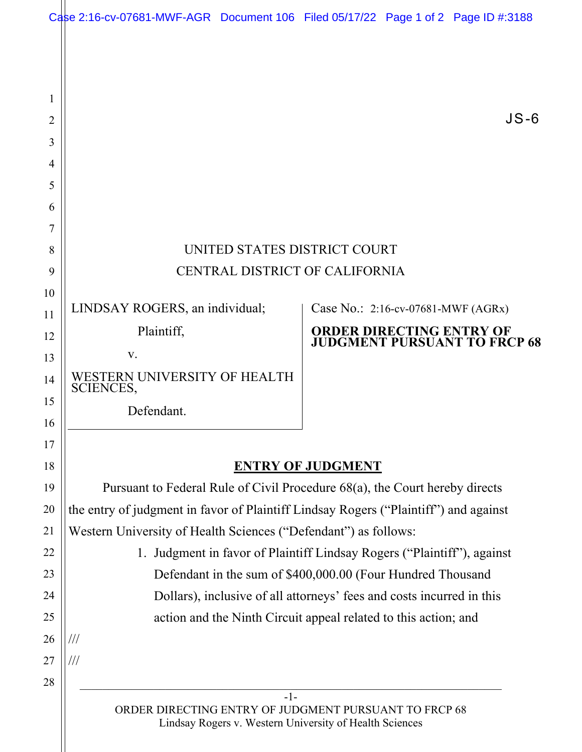|          | Case 2:16-cv-07681-MWF-AGR Document 106 Filed 05/17/22 Page 1 of 2 Page ID #:3188                                                                       |  |                                    |  |                                     |  |
|----------|---------------------------------------------------------------------------------------------------------------------------------------------------------|--|------------------------------------|--|-------------------------------------|--|
|          |                                                                                                                                                         |  |                                    |  |                                     |  |
|          |                                                                                                                                                         |  |                                    |  |                                     |  |
| 1        |                                                                                                                                                         |  |                                    |  |                                     |  |
| 2        |                                                                                                                                                         |  |                                    |  | $JS-6$                              |  |
| 3        |                                                                                                                                                         |  |                                    |  |                                     |  |
| 4        |                                                                                                                                                         |  |                                    |  |                                     |  |
| 5        |                                                                                                                                                         |  |                                    |  |                                     |  |
| 6        |                                                                                                                                                         |  |                                    |  |                                     |  |
| 7<br>8   | UNITED STATES DISTRICT COURT                                                                                                                            |  |                                    |  |                                     |  |
| 9        | CENTRAL DISTRICT OF CALIFORNIA                                                                                                                          |  |                                    |  |                                     |  |
| 10       |                                                                                                                                                         |  |                                    |  |                                     |  |
| 11       | LINDSAY ROGERS, an individual;                                                                                                                          |  | Case No.: 2:16-cv-07681-MWF (AGRx) |  |                                     |  |
| 12       | Plaintiff,                                                                                                                                              |  | ORDER DIRECTING ENTRY OF           |  |                                     |  |
| 13       | V.                                                                                                                                                      |  |                                    |  | <b>JUDGMENT PURSUANT TO FRCP 68</b> |  |
| 14       | WESTERN UNIVERSITY OF HEALTH<br><b>SCIENCES,</b>                                                                                                        |  |                                    |  |                                     |  |
| 15       | Defendant.                                                                                                                                              |  |                                    |  |                                     |  |
| 16       |                                                                                                                                                         |  |                                    |  |                                     |  |
| 17       |                                                                                                                                                         |  |                                    |  |                                     |  |
| 18<br>19 | <b>ENTRY OF JUDGMENT</b>                                                                                                                                |  |                                    |  |                                     |  |
| 20       | Pursuant to Federal Rule of Civil Procedure 68(a), the Court hereby directs                                                                             |  |                                    |  |                                     |  |
| 21       | the entry of judgment in favor of Plaintiff Lindsay Rogers ("Plaintiff") and against<br>Western University of Health Sciences ("Defendant") as follows: |  |                                    |  |                                     |  |
| 22       | 1. Judgment in favor of Plaintiff Lindsay Rogers ("Plaintiff"), against                                                                                 |  |                                    |  |                                     |  |
| 23       | Defendant in the sum of \$400,000.00 (Four Hundred Thousand                                                                                             |  |                                    |  |                                     |  |
| 24       | Dollars), inclusive of all attorneys' fees and costs incurred in this                                                                                   |  |                                    |  |                                     |  |
| 25       | action and the Ninth Circuit appeal related to this action; and                                                                                         |  |                                    |  |                                     |  |
| 26       | ///                                                                                                                                                     |  |                                    |  |                                     |  |
| 27       | ///                                                                                                                                                     |  |                                    |  |                                     |  |
| 28       |                                                                                                                                                         |  |                                    |  |                                     |  |
|          | $-1-$<br>ORDER DIRECTING ENTRY OF JUDGMENT PURSUANT TO FRCP 68<br>Lindsay Rogers v. Western University of Health Sciences                               |  |                                    |  |                                     |  |